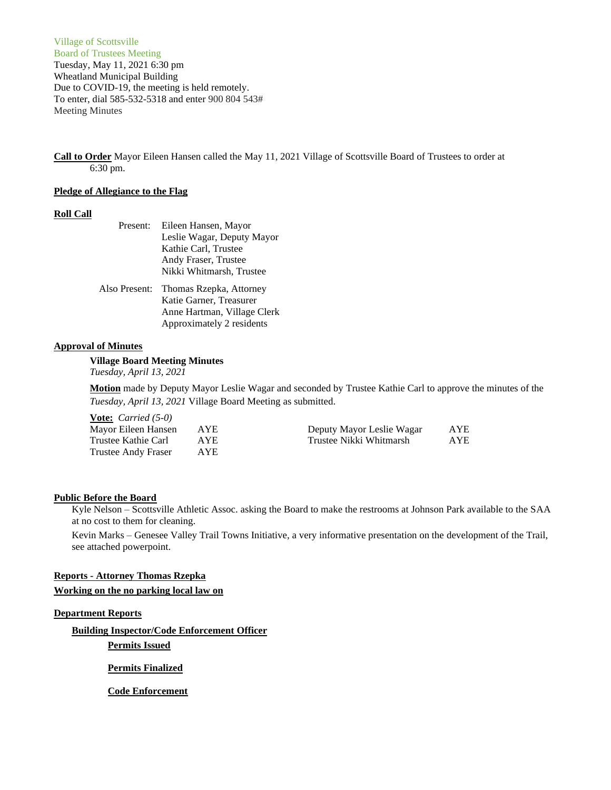Village of Scottsville Board of Trustees Meeting Tuesday, May 11, 2021 6:30 pm Wheatland Municipal Building Due to COVID-19, the meeting is held remotely. To enter, dial 585-532-5318 and enter 900 804 543# Meeting Minutes

**Call to Order** Mayor Eileen Hansen called the May 11, 2021 Village of Scottsville Board of Trustees to order at 6:30 pm.

### **Pledge of Allegiance to the Flag**

## **Roll Call**

| Present:      | Eileen Hansen, Mayor        |
|---------------|-----------------------------|
|               | Leslie Wagar, Deputy Mayor  |
|               | Kathie Carl, Trustee        |
|               | Andy Fraser, Trustee        |
|               | Nikki Whitmarsh, Trustee    |
| Also Present: | Thomas Rzepka, Attorney     |
|               | Katie Garner, Treasurer     |
|               | Anne Hartman, Village Clerk |
|               | Approximately 2 residents   |

### **Approval of Minutes**

**Village Board Meeting Minutes** *Tuesday, April 13, 2021*

**Motion** made by Deputy Mayor Leslie Wagar and seconded by Trustee Kathie Carl to approve the minutes of the *Tuesday, April 13, 2021* Village Board Meeting as submitted.

**Vote:** *Carried (5-0)* Mayor Eileen Hansen AYE Deputy Mayor Leslie Wagar AYE Trustee Kathie Carl AYE Trustee Nikki Whitmarsh AYE Trustee Andy Fraser AYE

#### **Public Before the Board**

Kyle Nelson – Scottsville Athletic Assoc. asking the Board to make the restrooms at Johnson Park available to the SAA at no cost to them for cleaning.

Kevin Marks – Genesee Valley Trail Towns Initiative, a very informative presentation on the development of the Trail, see attached powerpoint.

# **Reports - Attorney Thomas Rzepka Working on the no parking local law on**

### **Department Reports**

**Building Inspector/Code Enforcement Officer**

**Permits Issued**

**Permits Finalized**

**Code Enforcement**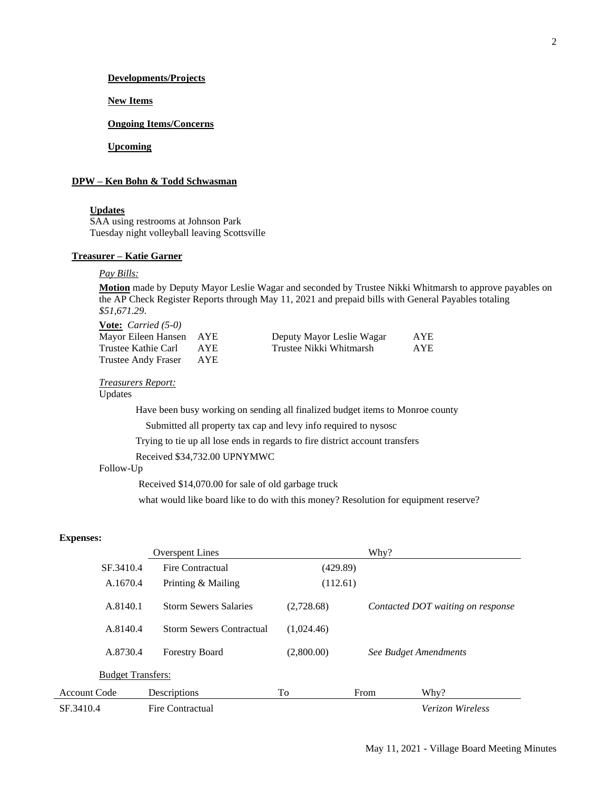### **Developments/Projects**

**New Items**

### **Ongoing Items/Concerns**

**Upcoming**

## **DPW – Ken Bohn & Todd Schwasman**

#### **Updates**

SAA using restrooms at Johnson Park Tuesday night volleyball leaving Scottsville

### **Treasurer – Katie Garner**

## *Pay Bills:*

**Motion** made by Deputy Mayor Leslie Wagar and seconded by Trustee Nikki Whitmarsh to approve payables on the AP Check Register Reports through May 11, 2021 and prepaid bills with General Payables totaling *\$51,671.29*.

**Vote:** *Carried (5-0)* Trustee Andy Fraser AYE

| Mayor Eileen Hansen AYE                                                                   |      | Deputy Mayor Leslie Wagar | AYE  |
|-------------------------------------------------------------------------------------------|------|---------------------------|------|
| Trustee Kathie Carl                                                                       | AYE. | Trustee Nikki Whitmarsh   | AYE. |
| $\blacksquare$ $\blacksquare$ $\blacksquare$ $\blacksquare$ $\blacksquare$ $\blacksquare$ |      |                           |      |

*Treasurers Report:*

## Updates

Have been busy working on sending all finalized budget items to Monroe county

Submitted all property tax cap and levy info required to nysosc

Trying to tie up all lose ends in regards to fire district account transfers

Received \$34,732.00 UPNYMWC

#### Follow-Up

Received \$14,070.00 for sale of old garbage truck

what would like board like to do with this money? Resolution for equipment reserve?

## **Expenses:**

| <b>Overspent Lines</b>   |                                 |            | Why?                  |                                   |
|--------------------------|---------------------------------|------------|-----------------------|-----------------------------------|
| SF.3410.4                | Fire Contractual                | (429.89)   |                       |                                   |
| A.1670.4                 | Printing & Mailing              | (112.61)   |                       |                                   |
| A.8140.1                 | <b>Storm Sewers Salaries</b>    | (2,728.68) |                       | Contacted DOT waiting on response |
| A.8140.4                 | <b>Storm Sewers Contractual</b> | (1,024.46) |                       |                                   |
| A.8730.4                 | <b>Forestry Board</b>           | (2,800.00) | See Budget Amendments |                                   |
| <b>Budget Transfers:</b> |                                 |            |                       |                                   |
| Account Code             | Descriptions                    | To         | From                  | Why?                              |
| SF.3410.4                | Fire Contractual                |            |                       | Verizon Wireless                  |
|                          |                                 |            |                       |                                   |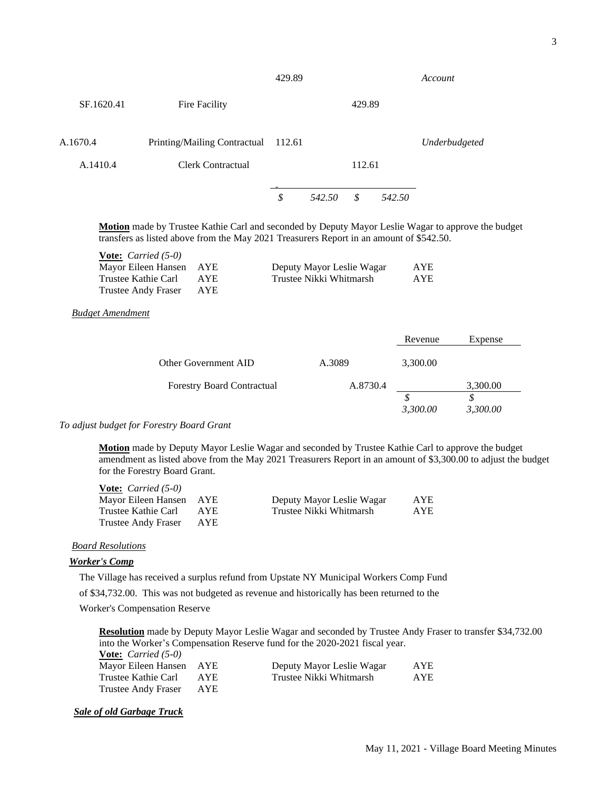|            |                              | 429.89 |        |        |        | Account       |
|------------|------------------------------|--------|--------|--------|--------|---------------|
| SF.1620.41 | Fire Facility                |        |        | 429.89 |        |               |
| A.1670.4   | Printing/Mailing Contractual | 112.61 |        |        |        | Underbudgeted |
| A.1410.4   | <b>Clerk Contractual</b>     |        |        | 112.61 |        |               |
|            |                              | \$     | 542.50 | \$     | 542.50 |               |

**Motion** made by Trustee Kathie Carl and seconded by Deputy Mayor Leslie Wagar to approve the budget transfers as listed above from the May 2021 Treasurers Report in an amount of \$542.50.

| <b>Vote:</b> <i>Carried</i> $(5-0)$ |      |                           |     |
|-------------------------------------|------|---------------------------|-----|
| Mayor Eileen Hansen AYE             |      | Deputy Mayor Leslie Wagar | AYE |
| Trustee Kathie Carl                 | AYE. | Trustee Nikki Whitmarsh   | AYE |
| Trustee Andy Fraser                 | AYE. |                           |     |

## *Budget Amendment*

|                                   |          | Revenue       | Expense  |
|-----------------------------------|----------|---------------|----------|
| Other Government AID              | A.3089   | 3,300.00      |          |
| <b>Forestry Board Contractual</b> | A.8730.4 |               | 3,300.00 |
|                                   |          | D<br>3,300.00 | 3,300.00 |

#### *To adjust budget for Forestry Board Grant*

**Vote:** *Carried (5-0)*

**Motion** made by Deputy Mayor Leslie Wagar and seconded by Trustee Kathie Carl to approve the budget amendment as listed above from the May 2021 Treasurers Report in an amount of \$3,300.00 to adjust the budget for the Forestry Board Grant.

| $\mathbf{V}$ vue: $\mathbf{U}$ uried (9-0) |            |                           |            |
|--------------------------------------------|------------|---------------------------|------------|
| Mayor Eileen Hansen AYE                    |            | Deputy Mayor Leslie Wagar | <b>AYE</b> |
| Trustee Kathie Carl                        | <b>AYE</b> | Trustee Nikki Whitmarsh   | <b>AYE</b> |
| Trustee Andy Fraser                        | AYE        |                           |            |

### *Board Resolutions*

#### *Worker's Comp*

The Village has received a surplus refund from Upstate NY Municipal Workers Comp Fund

of \$34,732.00. This was not budgeted as revenue and historically has been returned to the

Worker's Compensation Reserve

**Resolution** made by Deputy Mayor Leslie Wagar and seconded by Trustee Andy Fraser to transfer \$34,732.00 into the Worker's Compensation Reserve fund for the 2020-2021 fiscal year.

**Vote:** *Carried (5-0)* Mayor Eileen Hansen AYE Deputy Mayor Leslie Wagar AYE Trustee Kathie Carl AYE Trustee Nikki Whitmarsh AYE Trustee Andy Fraser AYE

### *Sale of old Garbage Truck*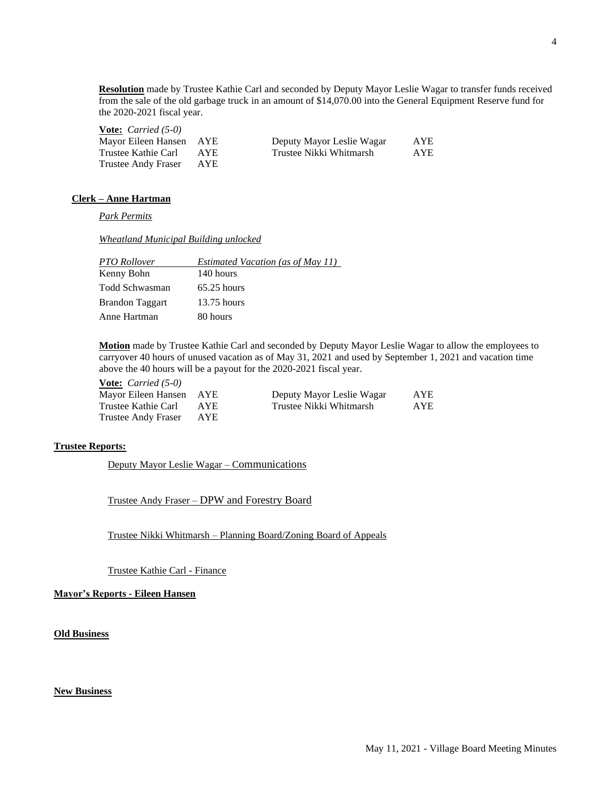**Resolution** made by Trustee Kathie Carl and seconded by Deputy Mayor Leslie Wagar to transfer funds received from the sale of the old garbage truck in an amount of \$14,070.00 into the General Equipment Reserve fund for the 2020-2021 fiscal year.

| <b>Vote:</b> <i>Carried</i> $(5-0)$ |      |                           |            |
|-------------------------------------|------|---------------------------|------------|
| Mayor Eileen Hansen AYE             |      | Deputy Mayor Leslie Wagar | AYE        |
| Trustee Kathie Carl                 | AYE. | Trustee Nikki Whitmarsh   | <b>AYE</b> |
| Trustee Andy Fraser                 | AYE. |                           |            |

### **Clerk – Anne Hartman**

*Park Permits*

*Wheatland Municipal Building unlocked*

| PTO Rollover           | <b>Estimated Vacation (as of May 11)</b> |
|------------------------|------------------------------------------|
| Kenny Bohn             | 140 hours                                |
| Todd Schwasman         | $65.25$ hours                            |
| <b>Brandon Taggart</b> | $13.75$ hours                            |
| Anne Hartman           | 80 hours                                 |

**Motion** made by Trustee Kathie Carl and seconded by Deputy Mayor Leslie Wagar to allow the employees to carryover 40 hours of unused vacation as of May 31, 2021 and used by September 1, 2021 and vacation time above the 40 hours will be a payout for the 2020-2021 fiscal year.

**Vote:** *Carried (5-0)* Trustee Andy Fraser AYE

Mayor Eileen Hansen AYE Deputy Mayor Leslie Wagar AYE Trustee Kathie Carl AYE Trustee Nikki Whitmarsh AYE

# **Trustee Reports:**

Deputy Mayor Leslie Wagar – Communications

Trustee Andy Fraser – DPW and Forestry Board

Trustee Nikki Whitmarsh – Planning Board/Zoning Board of Appeals

Trustee Kathie Carl - Finance

**Mayor's Reports - Eileen Hansen**

**Old Business**

## **New Business**